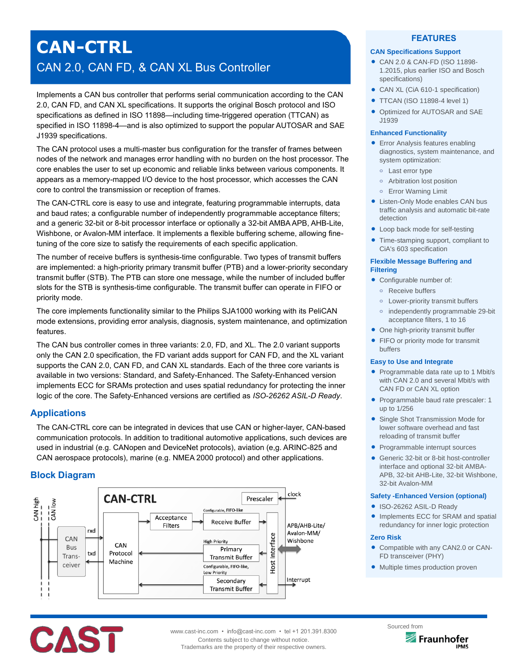# **CAN-CTRL** CAN 2.0, CAN FD, & CAN XL Bus Controller

Implements a CAN bus controller that performs serial communication according to the CAN 2.0, CAN FD, and CAN XL specifications. It supports the original Bosch protocol and ISO specifications as defined in ISO 11898—including time-triggered operation (TTCAN) as specified in ISO 11898-4—and is also optimized to support the popular AUTOSAR and SAE J1939 specifications.

The CAN protocol uses a multi-master bus configuration for the transfer of frames between nodes of the network and manages error handling with no burden on the host processor. The core enables the user to set up economic and reliable links between various components. It appears as a memory-mapped I/O device to the host processor, which accesses the CAN core to control the transmission or reception of frames.

The CAN-CTRL core is easy to use and integrate, featuring programmable interrupts, data and baud rates; a configurable number of independently programmable acceptance filters; and a generic 32-bit or 8-bit processor interface or optionally a 32-bit AMBA APB, AHB-Lite, Wishbone, or Avalon-MM interface. It implements a flexible buffering scheme, allowing finetuning of the core size to satisfy the requirements of each specific application.

The number of receive buffers is synthesis-time configurable. Two types of transmit buffers are implemented: a high-priority primary transmit buffer (PTB) and a lower-priority secondary transmit buffer (STB). The PTB can store one message, while the number of included buffer slots for the STB is synthesis-time configurable. The transmit buffer can operate in FIFO or priority mode.

The core implements functionality similar to the Philips SJA1000 working with its PeliCAN mode extensions, providing error analysis, diagnosis, system maintenance, and optimization features.

The CAN bus controller comes in three variants: 2.0, FD, and XL. The 2.0 variant supports only the CAN 2.0 specification, the FD variant adds support for CAN FD, and the XL variant supports the CAN 2.0, CAN FD, and CAN XL standards. Each of the three core variants is available in two versions: Standard, and Safety-Enhanced. The Safety-Enhanced version implements ECC for SRAMs protection and uses spatial redundancy for protecting the inner logic of the core. The Safety-Enhanced versions are certified as *ISO-26262 ASIL-D Ready*.

# **Applications**

The CAN-CTRL core can be integrated in devices that use CAN or higher-layer, CAN-based communication protocols. In addition to traditional automotive applications, such devices are used in industrial (e.g. CANopen and DeviceNet protocols), aviation (e,g. ARINC-825 and CAN aerospace protocols), marine (e.g. NMEA 2000 protocol) and other applications.

# **Block Diagram**



## **FEATURES**

#### **CAN Specifications Support**

- CAN 2.0 & CAN-FD (ISO 11898- 1.2015, plus earlier ISO and Bosch specifications)
- CAN XL (CiA 610-1 specification)
- **TTCAN (ISO 11898-4 level 1)**
- Optimized for AUTOSAR and SAE J1939

#### **Enhanced Functionality**

- **•** Error Analysis features enabling diagnostics, system maintenance, and system optimization:
	- **o** Last error type
	- **o** Arbitration lost position
	- **o** Error Warning Limit
- Listen-Only Mode enables CAN bus traffic analysis and automatic bit-rate detection
- Loop back mode for self-testing
- Time-stamping support, compliant to CiA's 603 specification

#### **Flexible Message Buffering and Filtering**

- Configurable number of:
	- **o** Receive buffers
	- **o** Lower-priority transmit buffers
	- **o** independently programmable 29-bit acceptance filters, 1 to 16
- One high-priority transmit buffer
- FIFO or priority mode for transmit buffers

#### **Easy to Use and Integrate**

- Programmable data rate up to 1 Mbit/s with CAN 2.0 and several Mbit/s with CAN FD or CAN XL option
- Programmable baud rate prescaler: 1 up to 1/256
- Single Shot Transmission Mode for lower software overhead and fast reloading of transmit buffer
- Programmable interrupt sources
- Generic 32-bit or 8-bit host-controller interface and optional 32-bit AMBA-APB, 32-bit AHB-Lite, 32-bit Wishbone, 32-bit Avalon-MM

#### **Safety -Enhanced Version (optional)**

- ISO-26262 ASIL-D Ready
- Implements ECC for SRAM and spatial redundancy for inner logic protection

#### **Zero Risk**

- Compatible with any CAN2.0 or CAN-FD transceiver (PHY)
- Multiple times production proven



www.cast-inc.com • info@cast-inc.com • tel +1 201.391.8300 Contents subject to change without notice.

Trademarks are the property of their respective owners.